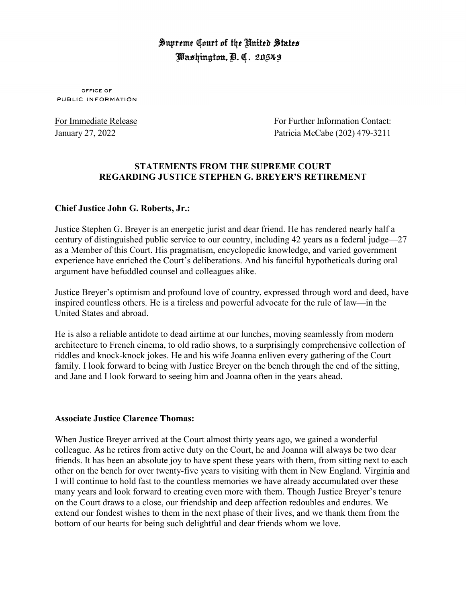# Supreme Court of the United States Washington, D. C. 20543

OFFICE OF PUBLIC INFORMATION

For Immediate Release For Further Information Contact: January 27, 2022 Patricia McCabe (202) 479-3211

# **STATEMENTS FROM THE SUPREME COURT REGARDING JUSTICE STEPHEN G. BREYER'S RETIREMENT**

## **Chief Justice John G. Roberts, Jr.:**

Justice Stephen G. Breyer is an energetic jurist and dear friend. He has rendered nearly half a century of distinguished public service to our country, including 42 years as a federal judge—27 as a Member of this Court. His pragmatism, encyclopedic knowledge, and varied government experience have enriched the Court's deliberations. And his fanciful hypotheticals during oral argument have befuddled counsel and colleagues alike.

Justice Breyer's optimism and profound love of country, expressed through word and deed, have inspired countless others. He is a tireless and powerful advocate for the rule of law—in the United States and abroad.

He is also a reliable antidote to dead airtime at our lunches, moving seamlessly from modern architecture to French cinema, to old radio shows, to a surprisingly comprehensive collection of riddles and knock-knock jokes. He and his wife Joanna enliven every gathering of the Court family. I look forward to being with Justice Breyer on the bench through the end of the sitting, and Jane and I look forward to seeing him and Joanna often in the years ahead.

## **Associate Justice Clarence Thomas:**

When Justice Breyer arrived at the Court almost thirty years ago, we gained a wonderful colleague. As he retires from active duty on the Court, he and Joanna will always be two dear friends. It has been an absolute joy to have spent these years with them, from sitting next to each other on the bench for over twenty-five years to visiting with them in New England. Virginia and I will continue to hold fast to the countless memories we have already accumulated over these many years and look forward to creating even more with them. Though Justice Breyer's tenure on the Court draws to a close, our friendship and deep affection redoubles and endures. We extend our fondest wishes to them in the next phase of their lives, and we thank them from the bottom of our hearts for being such delightful and dear friends whom we love.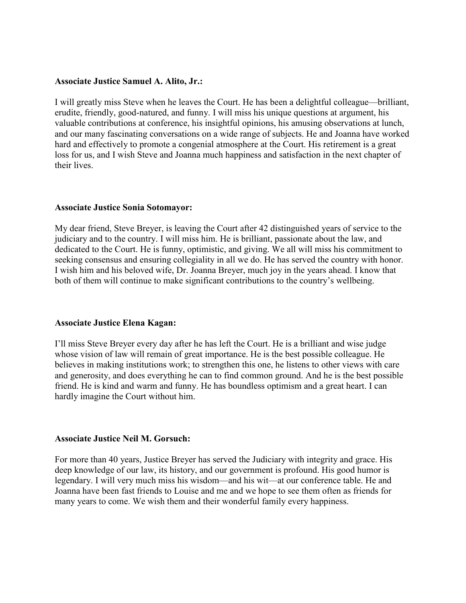#### **Associate Justice Samuel A. Alito, Jr.:**

I will greatly miss Steve when he leaves the Court. He has been a delightful colleague—brilliant, erudite, friendly, good-natured, and funny. I will miss his unique questions at argument, his valuable contributions at conference, his insightful opinions, his amusing observations at lunch, and our many fascinating conversations on a wide range of subjects. He and Joanna have worked hard and effectively to promote a congenial atmosphere at the Court. His retirement is a great loss for us, and I wish Steve and Joanna much happiness and satisfaction in the next chapter of their lives.

## **Associate Justice Sonia Sotomayor:**

My dear friend, Steve Breyer, is leaving the Court after 42 distinguished years of service to the judiciary and to the country. I will miss him. He is brilliant, passionate about the law, and dedicated to the Court. He is funny, optimistic, and giving. We all will miss his commitment to seeking consensus and ensuring collegiality in all we do. He has served the country with honor. I wish him and his beloved wife, Dr. Joanna Breyer, much joy in the years ahead. I know that both of them will continue to make significant contributions to the country's wellbeing.

## **Associate Justice Elena Kagan:**

I'll miss Steve Breyer every day after he has left the Court. He is a brilliant and wise judge whose vision of law will remain of great importance. He is the best possible colleague. He believes in making institutions work; to strengthen this one, he listens to other views with care and generosity, and does everything he can to find common ground. And he is the best possible friend. He is kind and warm and funny. He has boundless optimism and a great heart. I can hardly imagine the Court without him.

#### **Associate Justice Neil M. Gorsuch:**

For more than 40 years, Justice Breyer has served the Judiciary with integrity and grace. His deep knowledge of our law, its history, and our government is profound. His good humor is legendary. I will very much miss his wisdom—and his wit—at our conference table. He and Joanna have been fast friends to Louise and me and we hope to see them often as friends for many years to come. We wish them and their wonderful family every happiness.